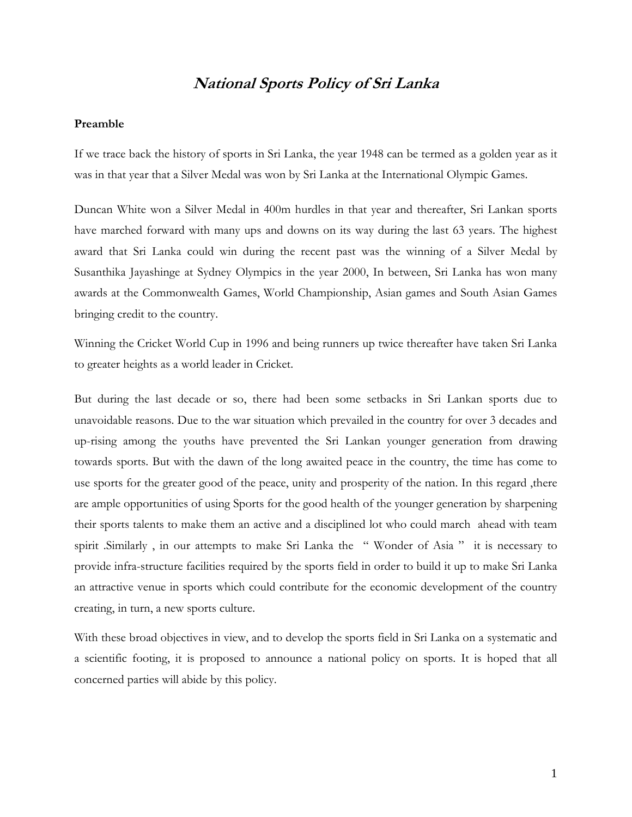## **National Sports Policy of Sri Lanka**

#### **Preamble**

If we trace back the history of sports in Sri Lanka, the year 1948 can be termed as a golden year as it was in that year that a Silver Medal was won by Sri Lanka at the International Olympic Games.

Duncan White won a Silver Medal in 400m hurdles in that year and thereafter, Sri Lankan sports have marched forward with many ups and downs on its way during the last 63 years. The highest award that Sri Lanka could win during the recent past was the winning of a Silver Medal by Susanthika Jayashinge at Sydney Olympics in the year 2000, In between, Sri Lanka has won many awards at the Commonwealth Games, World Championship, Asian games and South Asian Games bringing credit to the country.

Winning the Cricket World Cup in 1996 and being runners up twice thereafter have taken Sri Lanka to greater heights as a world leader in Cricket.

But during the last decade or so, there had been some setbacks in Sri Lankan sports due to unavoidable reasons. Due to the war situation which prevailed in the country for over 3 decades and up-rising among the youths have prevented the Sri Lankan younger generation from drawing towards sports. But with the dawn of the long awaited peace in the country, the time has come to use sports for the greater good of the peace, unity and prosperity of the nation. In this regard ,there are ample opportunities of using Sports for the good health of the younger generation by sharpening their sports talents to make them an active and a disciplined lot who could march ahead with team spirit .Similarly, in our attempts to make Sri Lanka the "Wonder of Asia" it is necessary to provide infra-structure facilities required by the sports field in order to build it up to make Sri Lanka an attractive venue in sports which could contribute for the economic development of the country creating, in turn, a new sports culture.

With these broad objectives in view, and to develop the sports field in Sri Lanka on a systematic and a scientific footing, it is proposed to announce a national policy on sports. It is hoped that all concerned parties will abide by this policy.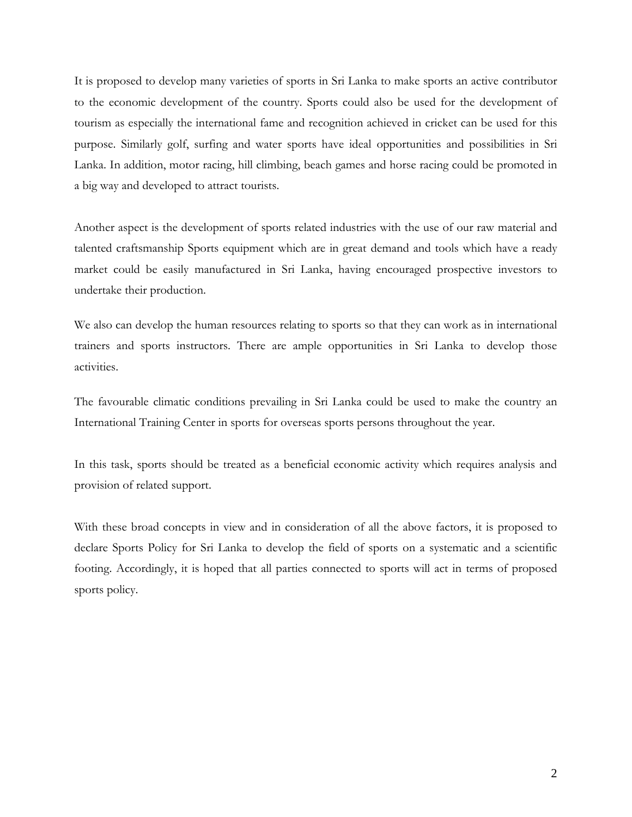It is proposed to develop many varieties of sports in Sri Lanka to make sports an active contributor to the economic development of the country. Sports could also be used for the development of tourism as especially the international fame and recognition achieved in cricket can be used for this purpose. Similarly golf, surfing and water sports have ideal opportunities and possibilities in Sri Lanka. In addition, motor racing, hill climbing, beach games and horse racing could be promoted in a big way and developed to attract tourists.

Another aspect is the development of sports related industries with the use of our raw material and talented craftsmanship Sports equipment which are in great demand and tools which have a ready market could be easily manufactured in Sri Lanka, having encouraged prospective investors to undertake their production.

We also can develop the human resources relating to sports so that they can work as in international trainers and sports instructors. There are ample opportunities in Sri Lanka to develop those activities.

The favourable climatic conditions prevailing in Sri Lanka could be used to make the country an International Training Center in sports for overseas sports persons throughout the year.

In this task, sports should be treated as a beneficial economic activity which requires analysis and provision of related support.

With these broad concepts in view and in consideration of all the above factors, it is proposed to declare Sports Policy for Sri Lanka to develop the field of sports on a systematic and a scientific footing. Accordingly, it is hoped that all parties connected to sports will act in terms of proposed sports policy.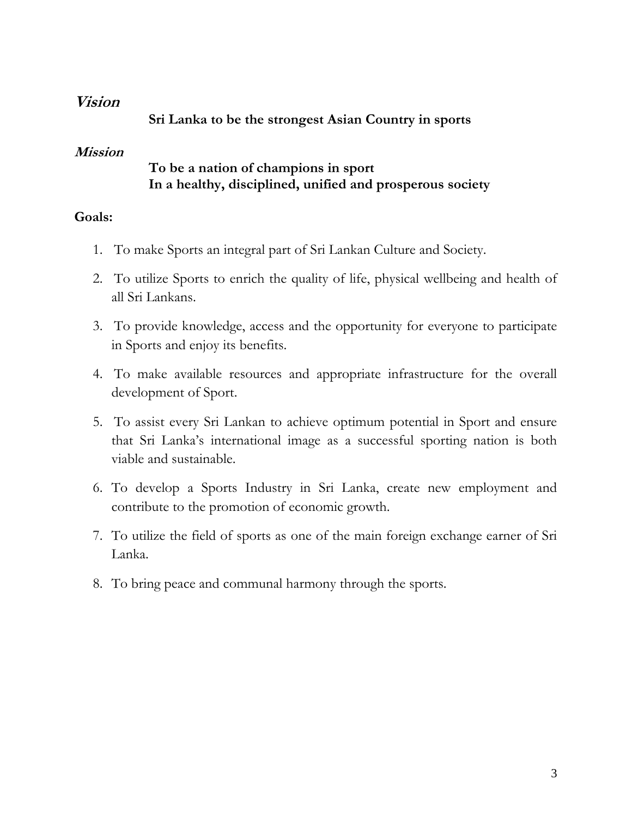## **Vision**

**Sri Lanka to be the strongest Asian Country in sports**

# **Mission**

# **To be a nation of champions in sport In a healthy, disciplined, unified and prosperous society**

# **Goals:**

- 1. To make Sports an integral part of Sri Lankan Culture and Society.
- 2. To utilize Sports to enrich the quality of life, physical wellbeing and health of all Sri Lankans.
- 3. To provide knowledge, access and the opportunity for everyone to participate in Sports and enjoy its benefits.
- 4. To make available resources and appropriate infrastructure for the overall development of Sport.
- 5. To assist every Sri Lankan to achieve optimum potential in Sport and ensure that Sri Lanka's international image as a successful sporting nation is both viable and sustainable.
- 6. To develop a Sports Industry in Sri Lanka, create new employment and contribute to the promotion of economic growth.
- 7. To utilize the field of sports as one of the main foreign exchange earner of Sri Lanka.
- 8. To bring peace and communal harmony through the sports.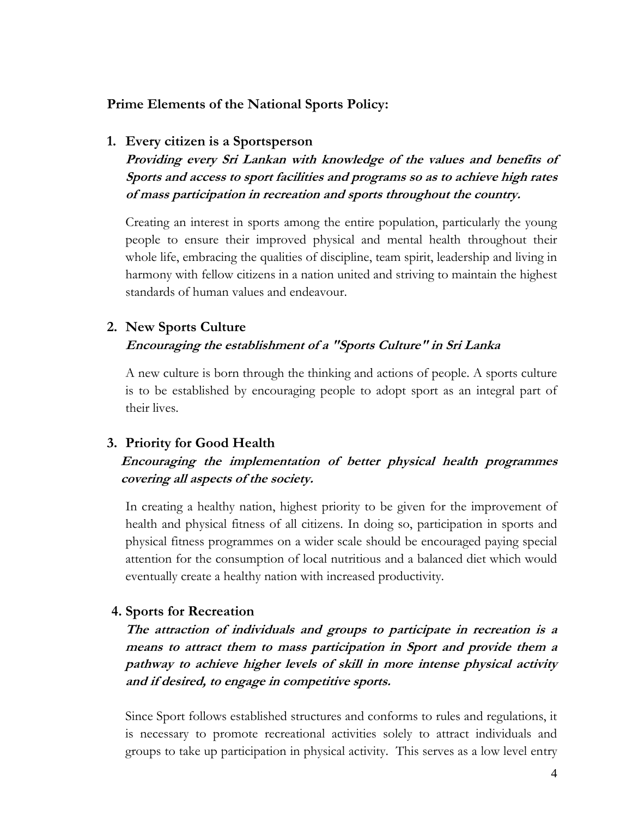### **Prime Elements of the National Sports Policy:**

#### **1. Every citizen is a Sportsperson**

**Providing every Sri Lankan with knowledge of the values and benefits of Sports and access to sport facilities and programs so as to achieve high rates of mass participation in recreation and sports throughout the country.** 

Creating an interest in sports among the entire population, particularly the young people to ensure their improved physical and mental health throughout their whole life, embracing the qualities of discipline, team spirit, leadership and living in harmony with fellow citizens in a nation united and striving to maintain the highest standards of human values and endeavour.

#### **2. New Sports Culture Encouraging the establishment of a "Sports Culture" in Sri Lanka**

A new culture is born through the thinking and actions of people. A sports culture is to be established by encouraging people to adopt sport as an integral part of their lives.

#### **3. Priority for Good Health**

## **Encouraging the implementation of better physical health programmes covering all aspects of the society.**

In creating a healthy nation, highest priority to be given for the improvement of health and physical fitness of all citizens. In doing so, participation in sports and physical fitness programmes on a wider scale should be encouraged paying special attention for the consumption of local nutritious and a balanced diet which would eventually create a healthy nation with increased productivity.

#### **4. Sports for Recreation**

**The attraction of individuals and groups to participate in recreation is a means to attract them to mass participation in Sport and provide them a pathway to achieve higher levels of skill in more intense physical activity and if desired, to engage in competitive sports.** 

Since Sport follows established structures and conforms to rules and regulations, it is necessary to promote recreational activities solely to attract individuals and groups to take up participation in physical activity. This serves as a low level entry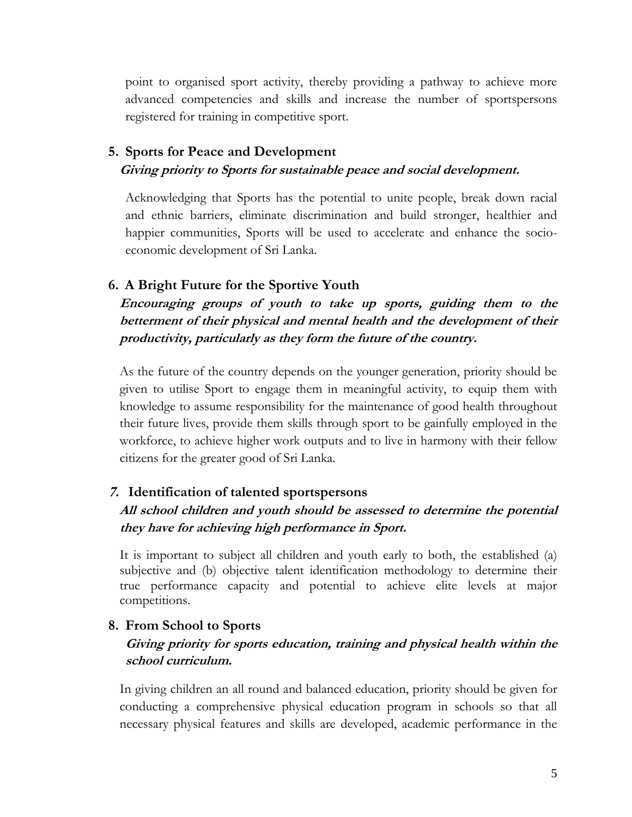point to organised sport activity, thereby providing a pathway to achieve more advanced competencies and skills and increase the number of sportspersons registered for training in competitive sport.

# **5. Sports for Peace and Development Giving priority to Sports for sustainable peace and social development.**

Acknowledging that Sports has the potential to unite people, break down racial and ethnic barriers, eliminate discrimination and build stronger, healthier and happier communities, Sports will be used to accelerate and enhance the socioeconomic development of Sri Lanka.

## **6. A Bright Future for the Sportive Youth**

**Encouraging groups of youth to take up sports, guiding them to the betterment of their physical and mental health and the development of their productivity, particularly as they form the future of the country.** 

As the future of the country depends on the younger generation, priority should be given to utilise Sport to engage them in meaningful activity, to equip them with knowledge to assume responsibility for the maintenance of good health throughout their future lives, provide them skills through sport to be gainfully employed in the workforce, to achieve higher work outputs and to live in harmony with their fellow citizens for the greater good of Sri Lanka.

## **7. Identification of talented sportspersons**

## **All school children and youth should be assessed to determine the potential they have for achieving high performance in Sport.**

It is important to subject all children and youth early to both, the established (a) subjective and (b) objective talent identification methodology to determine their true performance capacity and potential to achieve elite levels at major competitions.

## **8. From School to Sports**

## **Giving priority for sports education, training and physical health within the school curriculum.**

In giving children an all round and balanced education, priority should be given for conducting a comprehensive physical education program in schools so that all necessary physical features and skills are developed, academic performance in the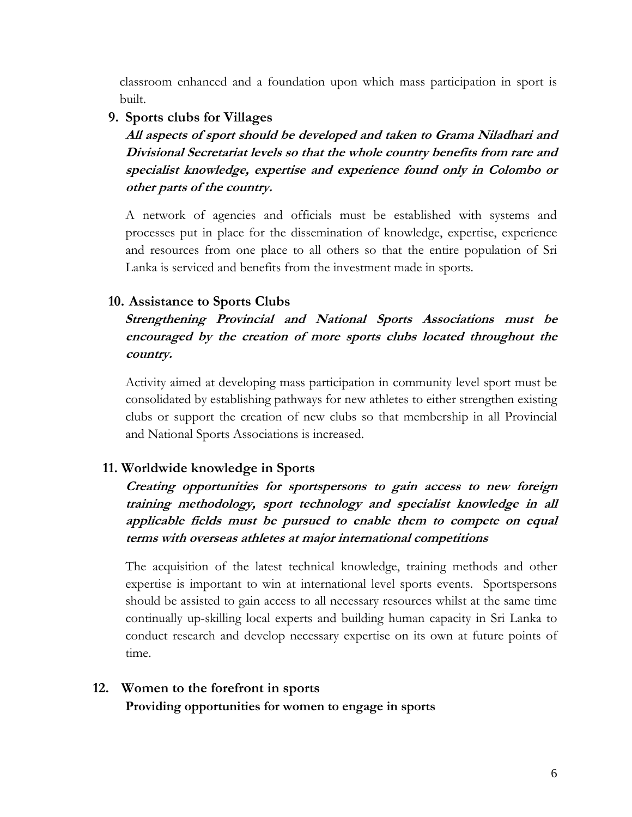classroom enhanced and a foundation upon which mass participation in sport is built.

**9. Sports clubs for Villages**

**All aspects of sport should be developed and taken to Grama Niladhari and Divisional Secretariat levels so that the whole country benefits from rare and specialist knowledge, expertise and experience found only in Colombo or other parts of the country.** 

A network of agencies and officials must be established with systems and processes put in place for the dissemination of knowledge, expertise, experience and resources from one place to all others so that the entire population of Sri Lanka is serviced and benefits from the investment made in sports.

## **10. Assistance to Sports Clubs**

## **Strengthening Provincial and National Sports Associations must be encouraged by the creation of more sports clubs located throughout the country.**

Activity aimed at developing mass participation in community level sport must be consolidated by establishing pathways for new athletes to either strengthen existing clubs or support the creation of new clubs so that membership in all Provincial and National Sports Associations is increased.

## **11. Worldwide knowledge in Sports**

**Creating opportunities for sportspersons to gain access to new foreign training methodology, sport technology and specialist knowledge in all applicable fields must be pursued to enable them to compete on equal terms with overseas athletes at major international competitions**

The acquisition of the latest technical knowledge, training methods and other expertise is important to win at international level sports events. Sportspersons should be assisted to gain access to all necessary resources whilst at the same time continually up-skilling local experts and building human capacity in Sri Lanka to conduct research and develop necessary expertise on its own at future points of time.

### **12. Women to the forefront in sports Providing opportunities for women to engage in sports**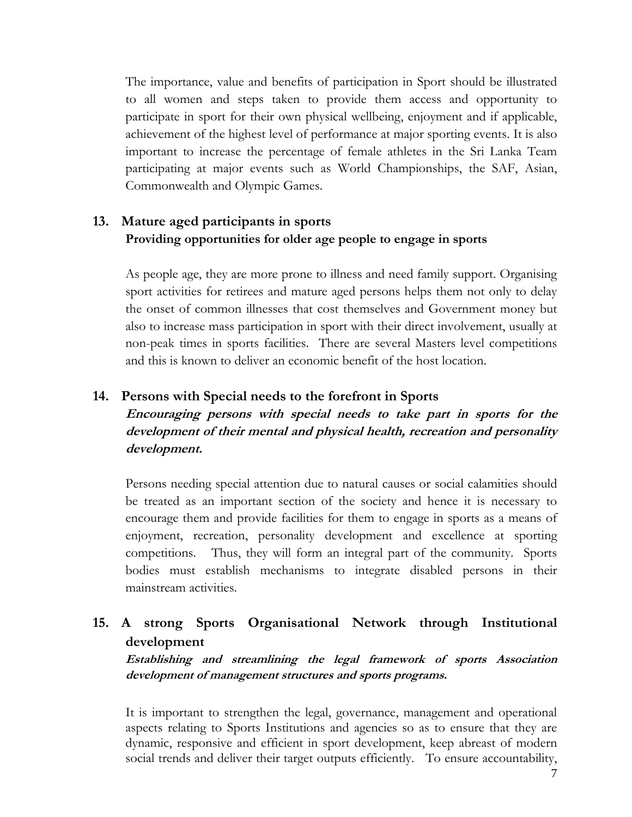The importance, value and benefits of participation in Sport should be illustrated to all women and steps taken to provide them access and opportunity to participate in sport for their own physical wellbeing, enjoyment and if applicable, achievement of the highest level of performance at major sporting events. It is also important to increase the percentage of female athletes in the Sri Lanka Team participating at major events such as World Championships, the SAF, Asian, Commonwealth and Olympic Games.

## **13. Mature aged participants in sports Providing opportunities for older age people to engage in sports**

As people age, they are more prone to illness and need family support. Organising sport activities for retirees and mature aged persons helps them not only to delay the onset of common illnesses that cost themselves and Government money but also to increase mass participation in sport with their direct involvement, usually at non-peak times in sports facilities. There are several Masters level competitions and this is known to deliver an economic benefit of the host location.

### **14. Persons with Special needs to the forefront in Sports**

**Encouraging persons with special needs to take part in sports for the development of their mental and physical health, recreation and personality development.**

Persons needing special attention due to natural causes or social calamities should be treated as an important section of the society and hence it is necessary to encourage them and provide facilities for them to engage in sports as a means of enjoyment, recreation, personality development and excellence at sporting competitions. Thus, they will form an integral part of the community. Sports bodies must establish mechanisms to integrate disabled persons in their mainstream activities.

# **15. A strong Sports Organisational Network through Institutional development**

**Establishing and streamlining the legal framework of sports Association development of management structures and sports programs.** 

It is important to strengthen the legal, governance, management and operational aspects relating to Sports Institutions and agencies so as to ensure that they are dynamic, responsive and efficient in sport development, keep abreast of modern social trends and deliver their target outputs efficiently. To ensure accountability,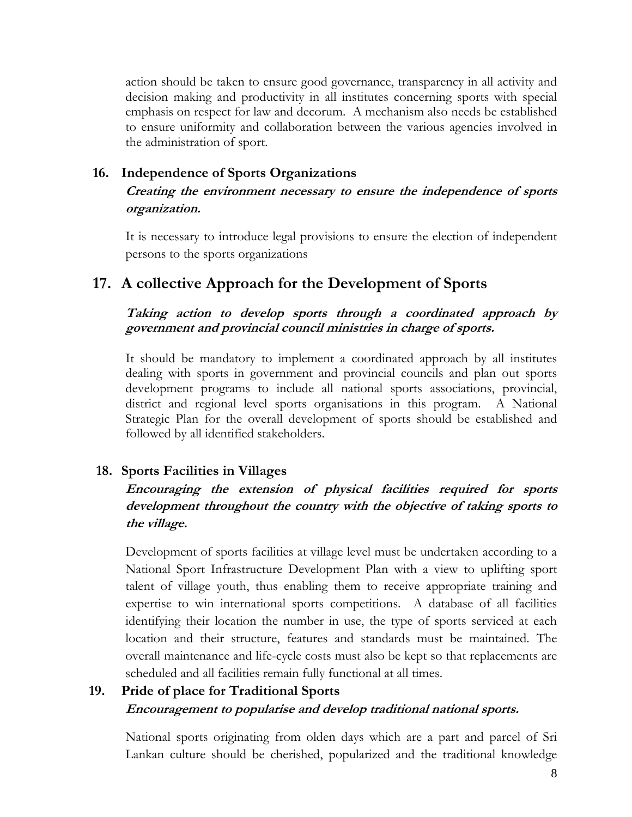action should be taken to ensure good governance, transparency in all activity and decision making and productivity in all institutes concerning sports with special emphasis on respect for law and decorum. A mechanism also needs be established to ensure uniformity and collaboration between the various agencies involved in the administration of sport.

## **16. Independence of Sports Organizations**

## **Creating the environment necessary to ensure the independence of sports organization.**

It is necessary to introduce legal provisions to ensure the election of independent persons to the sports organizations

# **17. A collective Approach for the Development of Sports**

### **Taking action to develop sports through a coordinated approach by government and provincial council ministries in charge of sports.**

It should be mandatory to implement a coordinated approach by all institutes dealing with sports in government and provincial councils and plan out sports development programs to include all national sports associations, provincial, district and regional level sports organisations in this program. A National Strategic Plan for the overall development of sports should be established and followed by all identified stakeholders.

## **18. Sports Facilities in Villages**

## **Encouraging the extension of physical facilities required for sports development throughout the country with the objective of taking sports to the village.**

Development of sports facilities at village level must be undertaken according to a National Sport Infrastructure Development Plan with a view to uplifting sport talent of village youth, thus enabling them to receive appropriate training and expertise to win international sports competitions. A database of all facilities identifying their location the number in use, the type of sports serviced at each location and their structure, features and standards must be maintained. The overall maintenance and life-cycle costs must also be kept so that replacements are scheduled and all facilities remain fully functional at all times.

# **19. Pride of place for Traditional Sports Encouragement to popularise and develop traditional national sports.**

National sports originating from olden days which are a part and parcel of Sri Lankan culture should be cherished, popularized and the traditional knowledge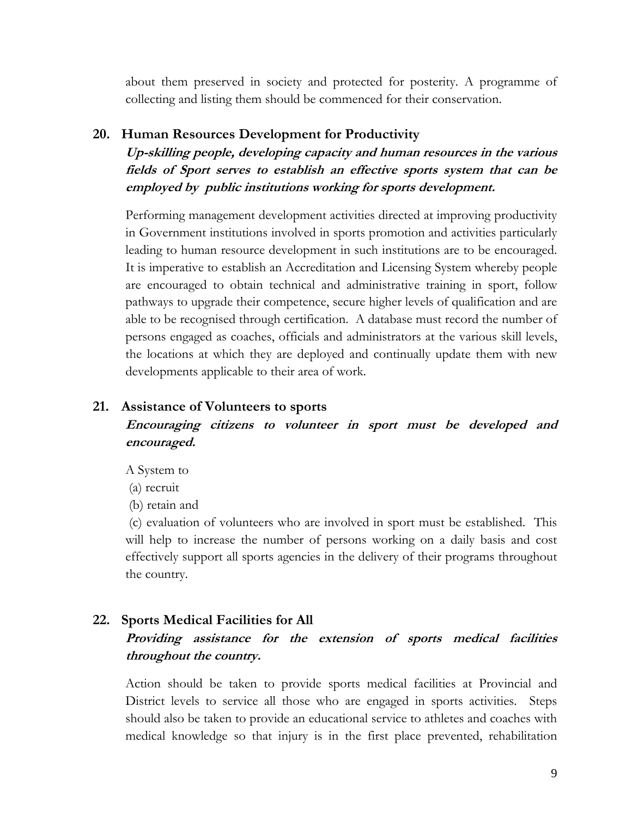about them preserved in society and protected for posterity. A programme of collecting and listing them should be commenced for their conservation.

#### **20. Human Resources Development for Productivity**

**Up-skilling people, developing capacity and human resources in the various fields of Sport serves to establish an effective sports system that can be employed by public institutions working for sports development.**

Performing management development activities directed at improving productivity in Government institutions involved in sports promotion and activities particularly leading to human resource development in such institutions are to be encouraged. It is imperative to establish an Accreditation and Licensing System whereby people are encouraged to obtain technical and administrative training in sport, follow pathways to upgrade their competence, secure higher levels of qualification and are able to be recognised through certification. A database must record the number of persons engaged as coaches, officials and administrators at the various skill levels, the locations at which they are deployed and continually update them with new developments applicable to their area of work.

#### **21. Assistance of Volunteers to sports**

# **Encouraging citizens to volunteer in sport must be developed and encouraged.**

A System to

(a) recruit

(b) retain and

(c) evaluation of volunteers who are involved in sport must be established. This will help to increase the number of persons working on a daily basis and cost effectively support all sports agencies in the delivery of their programs throughout the country.

### **22. Sports Medical Facilities for All**

## **Providing assistance for the extension of sports medical facilities throughout the country.**

Action should be taken to provide sports medical facilities at Provincial and District levels to service all those who are engaged in sports activities. Steps should also be taken to provide an educational service to athletes and coaches with medical knowledge so that injury is in the first place prevented, rehabilitation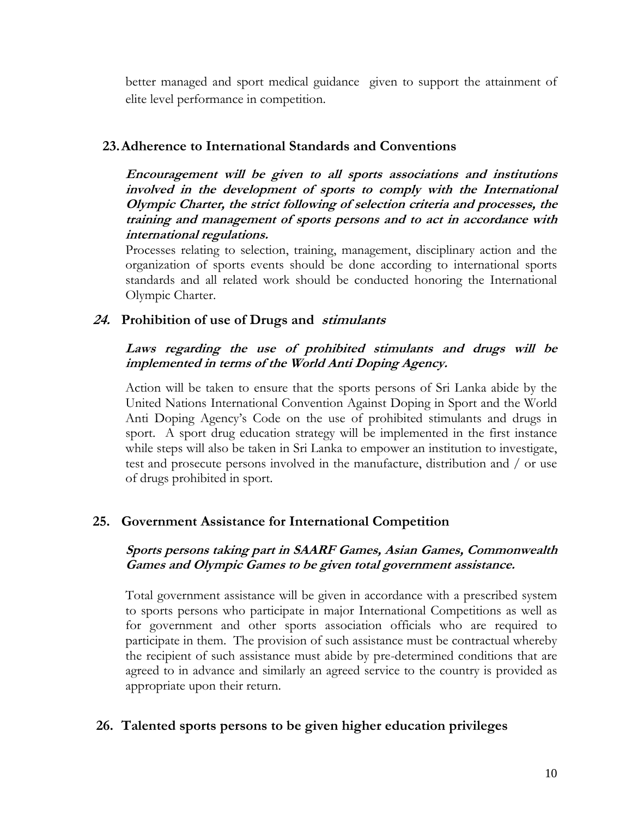better managed and sport medical guidance given to support the attainment of elite level performance in competition.

## **23.Adherence to International Standards and Conventions**

**Encouragement will be given to all sports associations and institutions involved in the development of sports to comply with the International Olympic Charter, the strict following of selection criteria and processes, the training and management of sports persons and to act in accordance with international regulations.**

Processes relating to selection, training, management, disciplinary action and the organization of sports events should be done according to international sports standards and all related work should be conducted honoring the International Olympic Charter.

## **24. Prohibition of use of Drugs and stimulants**

### **Laws regarding the use of prohibited stimulants and drugs will be implemented in terms of the World Anti Doping Agency.**

Action will be taken to ensure that the sports persons of Sri Lanka abide by the United Nations International Convention Against Doping in Sport and the World Anti Doping Agency's Code on the use of prohibited stimulants and drugs in sport. A sport drug education strategy will be implemented in the first instance while steps will also be taken in Sri Lanka to empower an institution to investigate, test and prosecute persons involved in the manufacture, distribution and / or use of drugs prohibited in sport.

## **25. Government Assistance for International Competition**

### **Sports persons taking part in SAARF Games, Asian Games, Commonwealth Games and Olympic Games to be given total government assistance.**

Total government assistance will be given in accordance with a prescribed system to sports persons who participate in major International Competitions as well as for government and other sports association officials who are required to participate in them. The provision of such assistance must be contractual whereby the recipient of such assistance must abide by pre-determined conditions that are agreed to in advance and similarly an agreed service to the country is provided as appropriate upon their return.

### **26. Talented sports persons to be given higher education privileges**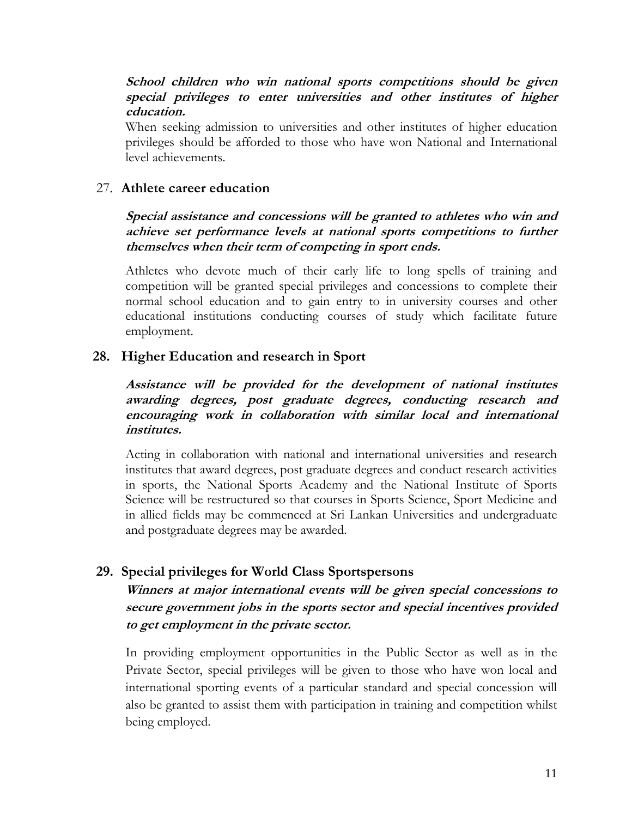#### **School children who win national sports competitions should be given special privileges to enter universities and other institutes of higher education.**

When seeking admission to universities and other institutes of higher education privileges should be afforded to those who have won National and International level achievements.

### 27. **Athlete career education**

### **Special assistance and concessions will be granted to athletes who win and achieve set performance levels at national sports competitions to further themselves when their term of competing in sport ends.**

Athletes who devote much of their early life to long spells of training and competition will be granted special privileges and concessions to complete their normal school education and to gain entry to in university courses and other educational institutions conducting courses of study which facilitate future employment.

## **28. Higher Education and research in Sport**

### **Assistance will be provided for the development of national institutes awarding degrees, post graduate degrees, conducting research and encouraging work in collaboration with similar local and international institutes.**

Acting in collaboration with national and international universities and research institutes that award degrees, post graduate degrees and conduct research activities in sports, the National Sports Academy and the National Institute of Sports Science will be restructured so that courses in Sports Science, Sport Medicine and in allied fields may be commenced at Sri Lankan Universities and undergraduate and postgraduate degrees may be awarded.

## **29. Special privileges for World Class Sportspersons**

## **Winners at major international events will be given special concessions to secure government jobs in the sports sector and special incentives provided to get employment in the private sector.**

In providing employment opportunities in the Public Sector as well as in the Private Sector, special privileges will be given to those who have won local and international sporting events of a particular standard and special concession will also be granted to assist them with participation in training and competition whilst being employed.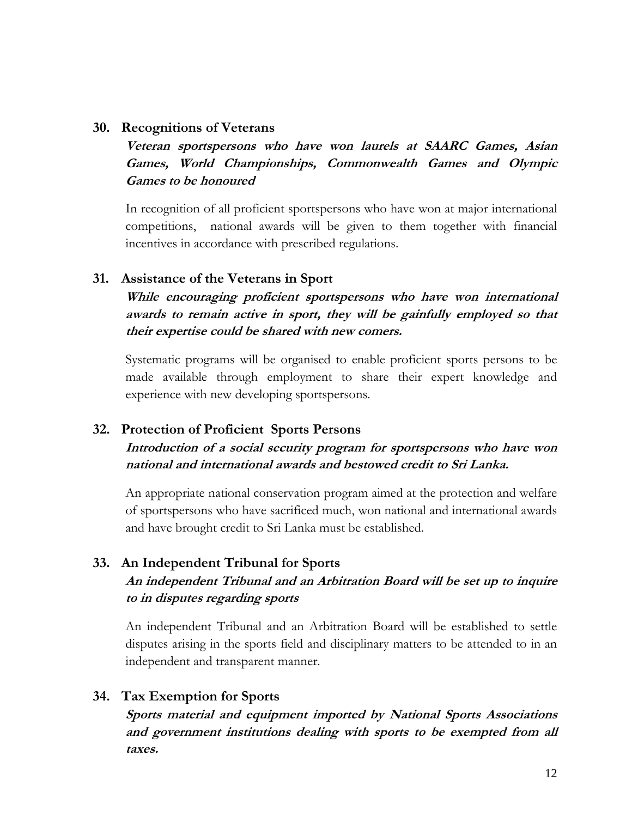#### **30. Recognitions of Veterans**

**Veteran sportspersons who have won laurels at SAARC Games, Asian Games, World Championships, Commonwealth Games and Olympic Games to be honoured**

In recognition of all proficient sportspersons who have won at major international competitions, national awards will be given to them together with financial incentives in accordance with prescribed regulations.

### **31. Assistance of the Veterans in Sport**

**While encouraging proficient sportspersons who have won international awards to remain active in sport, they will be gainfully employed so that their expertise could be shared with new comers.**

Systematic programs will be organised to enable proficient sports persons to be made available through employment to share their expert knowledge and experience with new developing sportspersons.

## **32. Protection of Proficient Sports Persons**

**Introduction of a social security program for sportspersons who have won national and international awards and bestowed credit to Sri Lanka.**

An appropriate national conservation program aimed at the protection and welfare of sportspersons who have sacrificed much, won national and international awards and have brought credit to Sri Lanka must be established.

## **33. An Independent Tribunal for Sports An independent Tribunal and an Arbitration Board will be set up to inquire to in disputes regarding sports**

An independent Tribunal and an Arbitration Board will be established to settle disputes arising in the sports field and disciplinary matters to be attended to in an independent and transparent manner.

## **34. Tax Exemption for Sports**

**Sports material and equipment imported by National Sports Associations and government institutions dealing with sports to be exempted from all taxes.**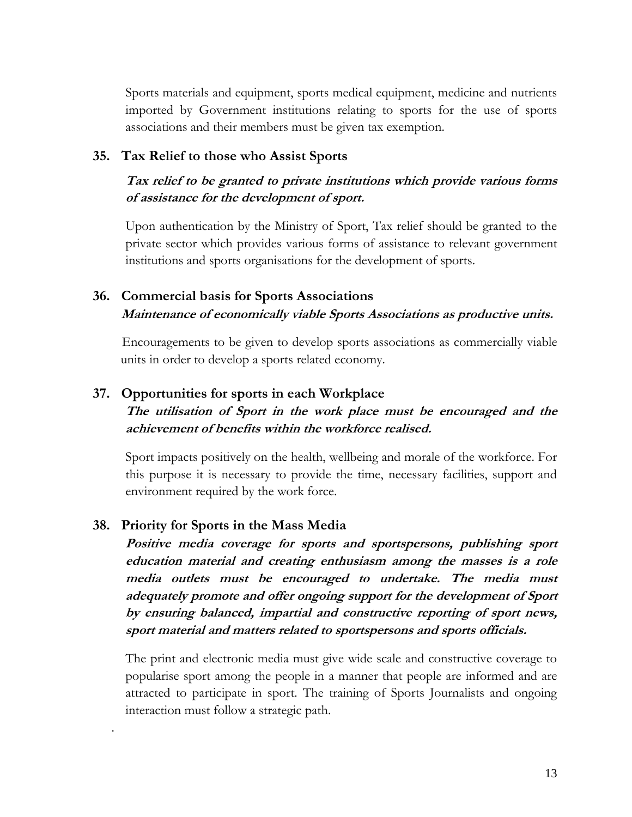Sports materials and equipment, sports medical equipment, medicine and nutrients imported by Government institutions relating to sports for the use of sports associations and their members must be given tax exemption.

### **35. Tax Relief to those who Assist Sports**

## **Tax relief to be granted to private institutions which provide various forms of assistance for the development of sport.**

Upon authentication by the Ministry of Sport, Tax relief should be granted to the private sector which provides various forms of assistance to relevant government institutions and sports organisations for the development of sports.

## **36. Commercial basis for Sports Associations Maintenance of economically viable Sports Associations as productive units.**

Encouragements to be given to develop sports associations as commercially viable units in order to develop a sports related economy.

### **37. Opportunities for sports in each Workplace**

## **The utilisation of Sport in the work place must be encouraged and the achievement of benefits within the workforce realised.**

Sport impacts positively on the health, wellbeing and morale of the workforce. For this purpose it is necessary to provide the time, necessary facilities, support and environment required by the work force.

### **38. Priority for Sports in the Mass Media**

.

**Positive media coverage for sports and sportspersons, publishing sport education material and creating enthusiasm among the masses is a role media outlets must be encouraged to undertake. The media must adequately promote and offer ongoing support for the development of Sport by ensuring balanced, impartial and constructive reporting of sport news, sport material and matters related to sportspersons and sports officials.**

The print and electronic media must give wide scale and constructive coverage to popularise sport among the people in a manner that people are informed and are attracted to participate in sport. The training of Sports Journalists and ongoing interaction must follow a strategic path.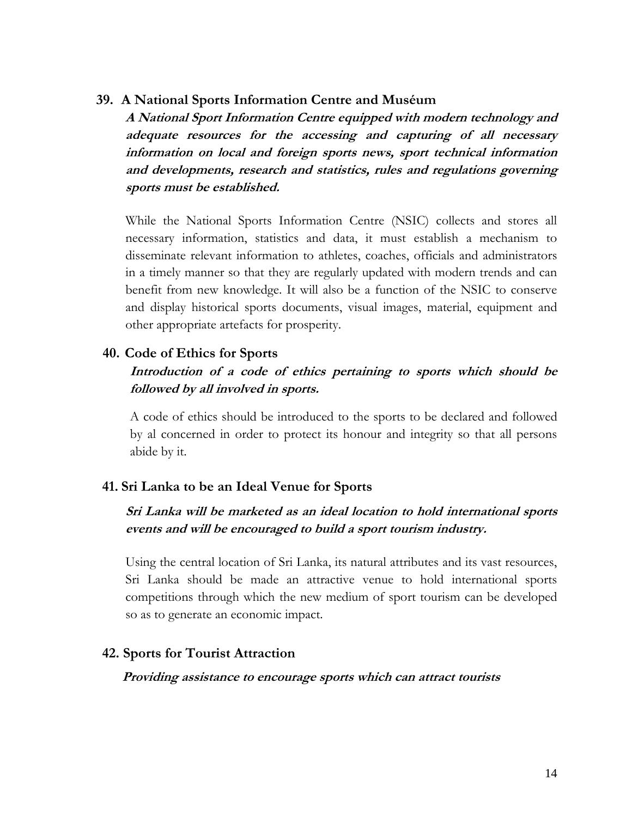#### **39. A National Sports Information Centre and Muséum**

**A National Sport Information Centre equipped with modern technology and adequate resources for the accessing and capturing of all necessary information on local and foreign sports news, sport technical information and developments, research and statistics, rules and regulations governing sports must be established.**

While the National Sports Information Centre (NSIC) collects and stores all necessary information, statistics and data, it must establish a mechanism to disseminate relevant information to athletes, coaches, officials and administrators in a timely manner so that they are regularly updated with modern trends and can benefit from new knowledge. It will also be a function of the NSIC to conserve and display historical sports documents, visual images, material, equipment and other appropriate artefacts for prosperity.

#### **40. Code of Ethics for Sports**

## **Introduction of a code of ethics pertaining to sports which should be followed by all involved in sports.**

A code of ethics should be introduced to the sports to be declared and followed by al concerned in order to protect its honour and integrity so that all persons abide by it.

#### **41. Sri Lanka to be an Ideal Venue for Sports**

## **Sri Lanka will be marketed as an ideal location to hold international sports events and will be encouraged to build a sport tourism industry.**

Using the central location of Sri Lanka, its natural attributes and its vast resources, Sri Lanka should be made an attractive venue to hold international sports competitions through which the new medium of sport tourism can be developed so as to generate an economic impact.

#### **42. Sports for Tourist Attraction**

#### **Providing assistance to encourage sports which can attract tourists**